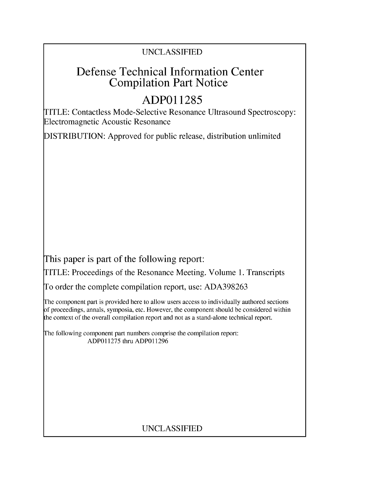# UNCLASSIFIED

# Defense Technical Information Center Compilation Part Notice

# **ADPO1 1285**

TITLE: Contactless Mode-Selective Resonance Ultrasound Spectroscopy: Electromagnetic Acoustic Resonance

DISTRIBUTION: Approved for public release, distribution unlimited

This paper is part of the following report:

TITLE: Proceedings of the Resonance Meeting. Volume 1. Transcripts

To order the complete compilation report, use: ADA398263

The component part is provided here to allow users access to individually authored sections f proceedings, annals, symposia, etc. However, the component should be considered within [he context of the overall compilation report and not as a stand-alone technical report.

The following component part numbers comprise the compilation report: ADP011275 thru ADP011296

# UNCLASSIFIED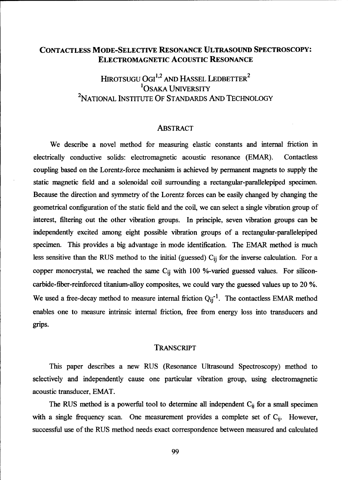# **CONTACTLESS** MODE-SELECTIVE **RESONANCE ULTRASOUND** SPECTROSCOPY: ELECTROMAGNETIC ACOUSTIC **RESONANCE**

HIROTSUGU OGI<sup>1,2</sup> AND HASSEL LEDBETTER<sup>2</sup> **'OSAKA UNIVERSITY** 2NATIONAL INSTITUTE OF STANDARDS AND TECHNOLOGY

### ABSTRACT

We describe a novel method for measuring elastic constants and internal friction in electrically conductive solids: electromagnetic acoustic resonance (EMAR). Contactless coupling based on the Lorentz-force mechanism is achieved by permanent magnets to supply the static magnetic field and a solenoidal coil surrounding a rectangular-parallelepiped specimen. Because the direction and symmetry of the Lorentz forces can be easily changed by changing the geometrical configuration of the static field and the coil, we can select a single vibration group of interest, filtering out the other vibration groups. In principle, seven vibration groups can be independently excited among eight possible vibration groups of a rectangular-parallelepiped specimen. This provides a big advantage in mode identification. The EMAR method is much less sensitive than the RUS method to the initial (guessed) **Cij** for the inverse calculation. For a copper monocrystal, we reached the same **Cij** with 100 %-varied guessed values. For siliconcarbide-fiber-reinforced titanium-alloy composites, we could vary the guessed values up to 20 **%.** We used a free-decay method to measure internal friction  $Q_{ij}^{-1}$ . The contactless EMAR method enables one to measure intrinsic internal friction, free from energy loss into transducers and grips.

### TRANSCRIPT

This paper describes a new RUS (Resonance Ultrasound Spectroscopy) method to selectively and independently cause one particular vibration group, using electromagnetic acoustic transducer, EMAT.

The RUS method is a powerful tool to determine all independent **Cij** for a small specimen with a single frequency scan. One measurement provides a complete set of C<sub>ij</sub>. However, successful use of the RUS method needs exact correspondence between measured and calculated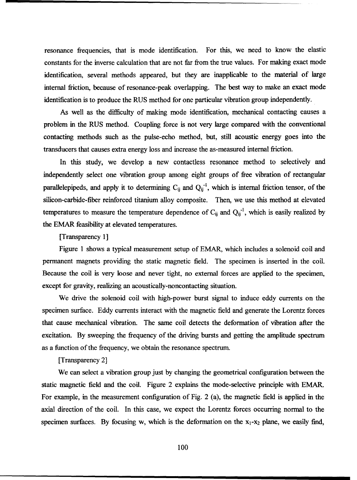resonance frequencies, that is mode identification. For this, we need to know the elastic constants for the inverse calculation that are not far from the true values. For making exact mode identification, several methods appeared, but they are inapplicable to the material of large internal friction, because of resonance-peak overlapping. The best way to make an exact mode identification is to produce the RUS method for one particular vibration group independently.

As well as the difficulty of making mode identification, mechanical contacting causes a problem in the RUS method. Coupling force is not very large compared with the conventional contacting methods such as the pulse-echo method, but, still acoustic energy goes into the transducers that causes extra energy loss and increase the as-measured internal friction.

In this study, we develop a new contactless resonance method to selectively and independently select one vibration group among eight groups of free vibration of rectangular parallelepipeds, and apply it to determining  $C_{ij}$  and  $Q_{ij}^{-1}$ , which is internal friction tensor, of the silicon-carbide-fiber reinforced titanium alloy composite. Then, we use this method at elevated temperatures to measure the temperature dependence of  $C_{ij}$  and  $Q_{ij}^{-1}$ , which is easily realized by the EMAR feasibility at elevated temperatures.

[Transparency 1]

Figure 1 shows a typical measurement setup of EMAR, which includes a solenoid coil and permanent magnets providing the static magnetic field. The specimen is inserted in the coil. Because the coil is very loose and never tight, no external forces are applied to the specimen, except for gravity, realizing an acoustically-noncontacting situation.

We drive the solenoid coil with high-power burst signal to induce eddy currents on the specimen surface. Eddy currents interact with the magnetic field and generate the Lorentz forces that cause mechanical vibration. The same coil detects the deformation of vibration after the excitation. By sweeping the frequency of the driving bursts and getting the amplitude spectrum as a function of the frequency, we obtain the resonance spectrum.

# [Transparency 2]

We can select a vibration group just by changing the geometrical configuration between the static magnetic field and the coil. Figure 2 explains the mode-selective principle with EMAR. For example, in the measurement configuration of Fig. 2 (a), the magnetic field is applied in the axial direction of the coil. In this case, we expect the Lorentz forces occurring normal to the specimen surfaces. By focusing w, which is the deformation on the  $x_1-x_2$  plane, we easily find,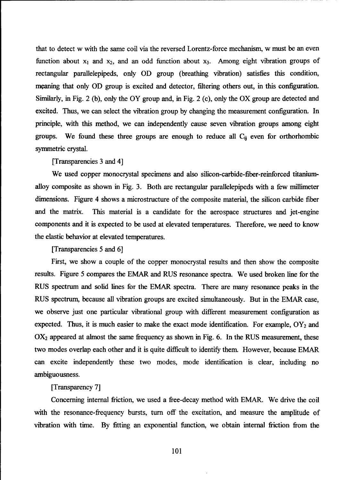that to detect w with the same coil via the reversed Lorentz-force mechanism, w must be an even function about  $x_1$  and  $x_2$ , and an odd function about  $x_3$ . Among eight vibration groups of rectangular parallelepipeds, only **OD** group (breathing vibration) satisfies this condition, meaning that only **OD** group is excited and detector, filtering others out, in this configuration. Similarly, in Fig. 2 (b), only the OY group and, in Fig. 2 (c), only the OX group are detected and excited. Thus, we can select the vibration group by changing the measurement configuration. In principle, with this method, we can independently cause seven vibration groups among eight groups. We found these three groups are enough to reduce all **Cij** even for orthorhombic symmetric crystal.

#### [Transparencies 3 and 4]

We used copper monocrystal specimens and also silicon-carbide-fiber-reinforced titaniumalloy composite as shown in Fig. 3. Both are rectangular parallelepipeds with a few millimeter dimensions. Figure 4 shows a microstructure of the composite material, the silicon carbide fiber and the matrix. This material is a candidate for the aerospace structures and jet-engine components and it is expected to be used at elevated temperatures. Therefore, we need to know the elastic behavior at elevated temperatures.

[Transparencies 5 and 6]

First, we show a couple of the copper monocrystal results and then show the composite results. Figure 5 compares the EMAR and RUS resonance spectra. We used broken line for the RUS spectrum and solid lines for the EMAR spectra. There are many resonance peaks in the RUS spectrum, because all vibration groups are excited simultaneously. But in the EMAR case, we observe just one particular vibrational group with different measurement configuration as expected. Thus, it is much easier to make the exact mode identification. For example,  $OY_2$  and  $OX<sub>2</sub>$  appeared at almost the same frequency as shown in Fig. 6. In the RUS measurement, these two modes overlap each other and it is quite difficult to identify them. However, because EMAR can excite independently these two modes, mode identification is clear, including no ambiguousness.

### [Transparency 7]

Concerning internal friction, we used a free-decay method with EMAR. We drive the coil with the resonance-frequency bursts, turn off the excitation, and measure the amplitude of vibration with time. By fitting an exponential function, we obtain internal friction from the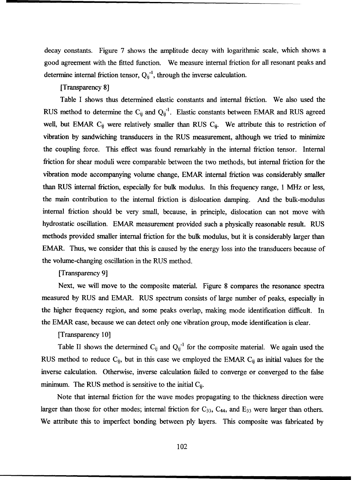decay constants. Figure 7 shows the amplitude decay with logarithmic scale, which shows a good agreement with the fitted function. We measure internal friction for all resonant peaks and determine internal friction tensor,  $Q_{ij}^{-1}$ , through the inverse calculation.

## [Transparency 8]

Table I shows thus determined elastic constants and internal friction. We also used the RUS method to determine the  $C_{ij}$  and  $Q_{ij}^{-1}$ . Elastic constants between EMAR and RUS agreed well, but EMAR C<sub>ij</sub> were relatively smaller than RUS C<sub>ij</sub>. We attribute this to restriction of vibration by sandwiching transducers in the RUS measurement, although we tried to minimize the coupling force. This effect was found remarkably in the internal friction tensor. Internal friction for shear moduli were comparable between the two methods, but internal friction for the vibration mode accompanying volume change, EMAR internal friction was considerably smaller than RUS internal friction, especially for bulk modulus. In this frequency range, 1 MHz or less, the main contribution to the internal friction is dislocation damping. And the bulk-modulus internal friction should be very small, because, in principle, dislocation can not move with hydrostatic oscillation. EMAR measurement provided such a physically reasonable result. RUS methods provided smaller internal friction for the bulk modulus, but it is considerably larger than EMAR. Thus, we consider that this is caused by the energy loss into the transducers because of the volume-changing oscillation in the RUS method.

# [Transparency 9]

Next, we will move to the composite material. Figure 8 compares the resonance spectra measured by RUS and EMAR. RUS spectrum consists of large number of peaks, especially in the higher frequency region, and some peaks overlap, making mode identification difficult. In the EMAR case, because we can detect only one vibration group, mode identification is clear.

### [Transparency 10]

Table II shows the determined C<sub>ij</sub> and Q<sub>ij</sub><sup>-1</sup> for the composite material. We again used the RUS method to reduce Cij, but in this case we employed the EMAR **Cij** as initial values for the inverse calculation. Otherwise, inverse calculation failed to converge or converged to the false minimum. The RUS method is sensitive to the initial  $C_{ii}$ .

Note that internal friction for the wave modes propagating to the thickness direction were larger than those for other modes; internal friction for  $C_{33}$ ,  $C_{44}$ , and  $E_{33}$  were larger than others. We attribute this to imperfect bonding between ply layers. This composite was fabricated by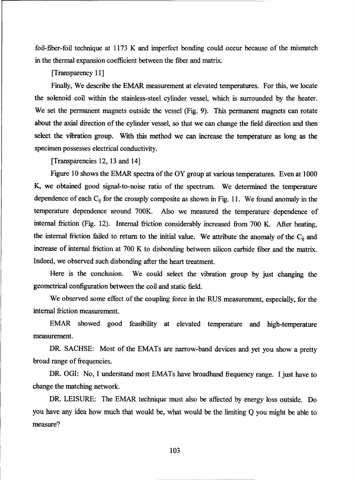foil-fiber-foil technique at 1173 K and imperfect bonding could occur because of the mismatch in the thermal expansion coefficient between the fiber and matrix.

[Transparency 11]

Finally, We describe the EMAR measurement at elevated temperatures. For this, we locate the solenoid coil within the stainless-steel cylinder vessel, which is surrounded by the heater. We set the permanent magnets outside the vessel (Fig. 9). This permanent magnets can rotate about the axial direction of the cylinder vessel, so that we can change the field direction and then select the vibration group. With this method we can increase the temperature as long as the specimen possesses electrical conductivity.

[Transparencies 12, 13 and 14]

Figure 10 shows the EMAR spectra of the OY group at various temperatures. Even at 1000 K, we obtained good signal-to-noise ratio of the spectrum. We determined the temperature dependence of each  $C_{ij}$  for the crossply composite as shown in Fig. 11. We found anomaly in the temperature dependence around 700K. Also we measured the temperature dependence of internal friction (Fig. 12). Internal friction considerably increased from 700 K. After heating, the internal friction failed to return to the initial value. We attribute the anomaly of the **Cij** and increase of internal friction at 700 K to disbonding between silicon carbide fiber and the matrix. Indeed, we observed such disbonding after the heart treatment.

Here is the conclusion. We could select the vibration group by just changing the geometrical configuration between the coil and static field.

We observed some effect of the coupling force in the RUS measurement, especially, for the internal friction measurement.

EMAR showed good feasibility at elevated temperature and high-temperature measurement.

DR. SACHSE: Most of the EMATs are narrow-band devices and yet you show a pretty broad range of frequencies.

DR. OGI: No, I understand most EMATs have broadband frequency range. I just have to change the matching network.

DR. LEISURE: The EMAR technique must also be affected by energy loss outside. Do you have any idea how much that would be, what would be the limiting Q you might be able to measure?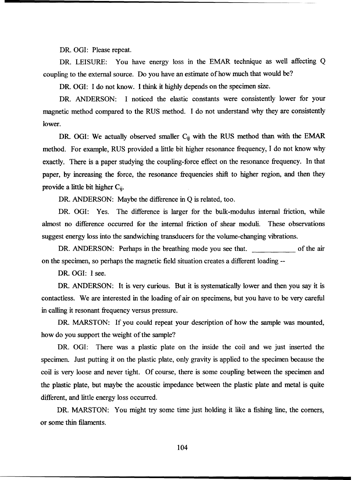DR. OGI: Please repeat.

DR. LEISURE: You have energy loss in the EMAR technique as well affecting Q coupling to the external source. Do you have an estimate of how much that would be?

DR. OGI: I do not know. I think it highly depends on the specimen size.

DR. ANDERSON: I noticed the elastic constants were consistently lower for your magnetic method compared to the RUS method. I do not understand why they are consistently lower.

DR. OGI: We actually observed smaller C<sub>ij</sub> with the RUS method than with the EMAR method. For example, RUS provided a little bit higher resonance frequency, I do not know why exactly. There is a paper studying the coupling-force effect on the resonance frequency. In that paper, by increasing the force, the resonance frequencies shift to higher region, and then they provide a little bit higher **Cij.**

DR. ANDERSON: Maybe the difference in **Q** is related, too.

DR. OGI: Yes. The difference is larger for the bulk-modulus internal friction, while almost no difference occurred for the internal friction of shear moduli. These observations suggest energy loss into the sandwiching transducers for the volume-changing vibrations.

DR. ANDERSON: Perhaps in the breathing mode you see that. on the air on the specimen, so perhaps the magnetic field situation creates a different loading --

DR- OGI: I see.

DR. ANDERSON: It is very curious. But it is systematically lower and then you say it is contactless. We are interested in the loading of air on specimens, but you have to be very careful in calling it resonant frequency versus pressure.

DR. MARSTON: If you could repeat your description of how the sample was mounted, how do you support the weight of the sample?

DR. OGI: There was a plastic plate on the inside the coil and we just inserted the specimen. Just putting it on the plastic plate, only gravity is applied to the specimen because the coil is very loose and never tight. Of course, there is some coupling between the specimen and the plastic plate, but maybe the acoustic impedance between the plastic plate and metal is quite different, and little energy loss occurred.

DR. MARSTON: You might try some time just holding it like a fishing line, the comers, or some thin filaments.